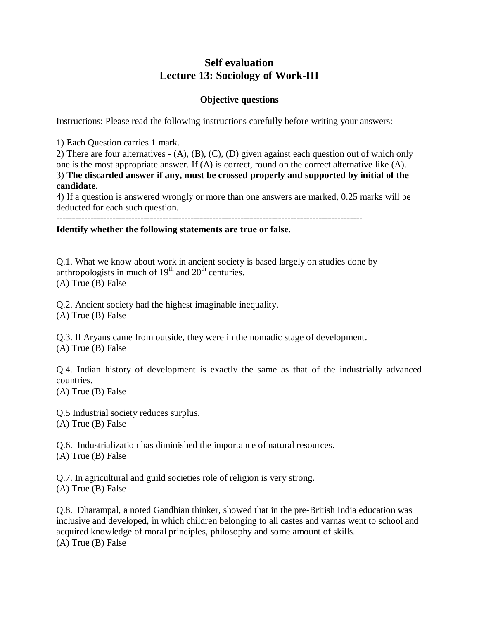# **Self evaluation Lecture 13: Sociology of Work-III**

### **Objective questions**

Instructions: Please read the following instructions carefully before writing your answers:

1) Each Question carries 1 mark.

2) There are four alternatives - (A), (B), (C), (D) given against each question out of which only one is the most appropriate answer. If (A) is correct, round on the correct alternative like (A). 3) **The discarded answer if any, must be crossed properly and supported by initial of the candidate.**

4) If a question is answered wrongly or more than one answers are marked, 0.25 marks will be deducted for each such question.

## **Identify whether the following statements are true or false.**

Q.1. What we know about work in ancient society is based largely on studies done by anthropologists in much of  $19<sup>th</sup>$  and  $20<sup>th</sup>$  centuries. (A) True (B) False

Q.2. Ancient society had the highest imaginable inequality. (A) True (B) False

Q.3. If Aryans came from outside, they were in the nomadic stage of development. (A) True (B) False

Q.4. Indian history of development is exactly the same as that of the industrially advanced countries.

(A) True (B) False

Q.5 Industrial society reduces surplus. (A) True (B) False

Q.6. Industrialization has diminished the importance of natural resources. (A) True (B) False

Q.7. In agricultural and guild societies role of religion is very strong. (A) True (B) False

Q.8. Dharampal, a noted Gandhian thinker, showed that in the pre-British India education was inclusive and developed, in which children belonging to all castes and varnas went to school and acquired knowledge of moral principles, philosophy and some amount of skills. (A) True (B) False